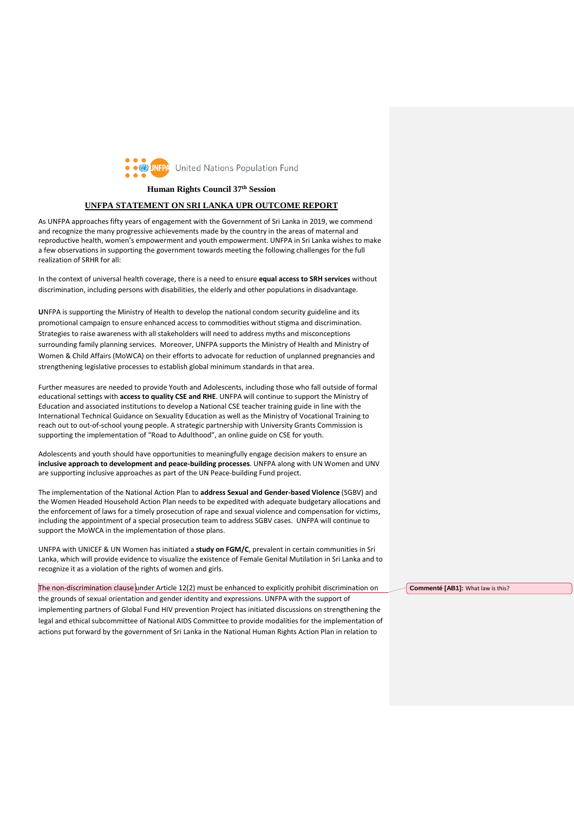

**Human Rights Council 37th Session**

## **UNFPA STATEMENT ON SRI LANKA UPR OUTCOME REPORT**

As UNFPA approaches fifty years of engagement with the Government of Sri Lanka in 2019, we commend and recognize the many progressive achievements made by the country in the areas of maternal and reproductive health, women's empowerment and youth empowerment. UNFPA in Sri Lanka wishes to make a few observations in supporting the government towards meeting the following challenges for the full realization of SRHR for all:

In the context of universal health coverage, there is a need to ensure **equal access to SRH services** without discrimination, including persons with disabilities, the elderly and other populations in disadvantage.

**U**NFPA is supporting the Ministry of Health to develop the national condom security guideline and its promotional campaign to ensure enhanced access to commodities without stigma and discrimination. Strategies to raise awareness with all stakeholders will need to address myths and misconceptions surrounding family planning services. Moreover, UNFPA supports the Ministry of Health and Ministry of Women & Child Affairs (MoWCA) on their efforts to advocate for reduction of unplanned pregnancies and strengthening legislative processes to establish global minimum standards in that area.

Further measures are needed to provide Youth and Adolescents, including those who fall outside of formal educational settings with **access to quality CSE and RHE**. UNFPA will continue to support the Ministry of Education and associated institutions to develop a National CSE teacher training guide in line with the International Technical Guidance on Sexuality Education as well as the Ministry of Vocational Training to reach out to out-of-school young people. A strategic partnership with University Grants Commission is supporting the implementation of "Road to Adulthood", an online guide on CSE for youth.

Adolescents and youth should have opportunities to meaningfully engage decision makers to ensure an **inclusive approach to development and peace-building processes**. UNFPA along with UN Women and UNV are supporting inclusive approaches as part of the UN Peace-building Fund project.

The implementation of the National Action Plan to **address Sexual and Gender-based Violence** (SGBV) and the Women Headed Household Action Plan needs to be expedited with adequate budgetary allocations and the enforcement of laws for a timely prosecution of rape and sexual violence and compensation for victims, including the appointment of a special prosecution team to address SGBV cases. UNFPA will continue to support the MoWCA in the implementation of those plans.

UNFPA with UNICEF & UN Women has initiated a **study on FGM/C**, prevalent in certain communities in Sri Lanka, which will provide evidence to visualize the existence of Female Genital Mutilation in Sri Lanka and to recognize it as a violation of the rights of women and girls.

The non-discrimination clause under Article 12(2) must be enhanced to explicitly prohibit discrimination on the grounds of sexual orientation and gender identity and expressions. UNFPA with the support of implementing partners of Global Fund HIV prevention Project has initiated discussions on strengthening the legal and ethical subcommittee of National AIDS Committee to provide modalities for the implementation of actions put forward by the government of Sri Lanka in the National Human Rights Action Plan in relation to

**Commenté [AB1]:** What law is this?